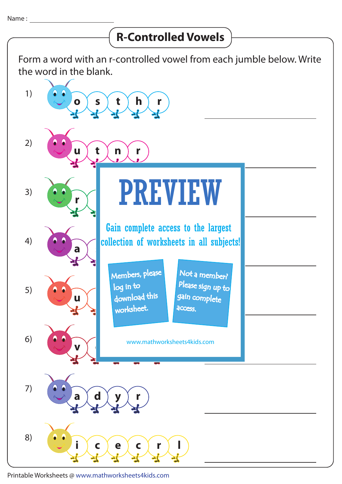## Form a word with an r-controlled vowel from each jumble below. Write the word in the blank. 8) **i**  $\left\{ \begin{array}{c} c \\ c \end{array} \right\}$  **c**  $\left\{ \begin{array}{c} c \\ c \end{array} \right\}$  **r**  $\left\{ \begin{array}{c} \end{array} \right\}$ 7) **a**  $\left[$  **d**  $\left[$  **y**  $\left[$  **y**  $\left[$  **r** 6)  $\mathbf{v} \left( \mathbf{v} \right)$ 5) **u**  $\left| \begin{array}{ccc} \end{array} \right|$  download this 4)  $\mathbf{a}$   $\left\{\right\}$   $\left\{\right.$   $\left\{\right.$   $\left\{\right. \right.}$   $\left\{\right.$   $\left. \right.$   $\left. \right.$   $\left. \right.$   $\left. \right.$   $\left. \right.$   $\left. \right.$   $\left. \right.$   $\left. \right.$   $\left. \right.$   $\left. \right.$   $\left. \right.$   $\left. \right.$   $\left. \right.$ 3) **r i t f s** 2) **u**  $\left( \begin{array}{c} 1 \end{array} \right)$  t  $\left( \begin{array}{c} n \end{array} \right)$  r 1) **o**  $\left\{ s \leq t \leq h \leq r \right\}$ **R-Controlled Vowels** PREVIEW www.mathworksheets4kids.com Members, please worksheet. log in to Not a member? gain complete Please sign up to **access** Gain complete access to the largest collection of worksheets in all subjects!

Printable Worksheets @ www.mathworksheets4kids.com